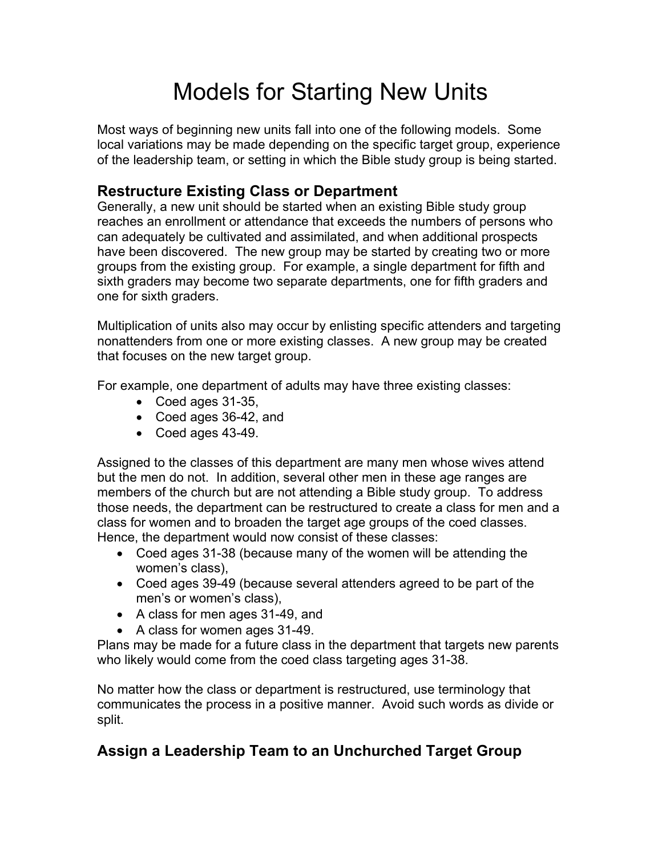## Models for Starting New Units

Most ways of beginning new units fall into one of the following models. Some local variations may be made depending on the specific target group, experience of the leadership team, or setting in which the Bible study group is being started.

## **Restructure Existing Class or Department**

Generally, a new unit should be started when an existing Bible study group reaches an enrollment or attendance that exceeds the numbers of persons who can adequately be cultivated and assimilated, and when additional prospects have been discovered. The new group may be started by creating two or more groups from the existing group. For example, a single department for fifth and sixth graders may become two separate departments, one for fifth graders and one for sixth graders.

Multiplication of units also may occur by enlisting specific attenders and targeting nonattenders from one or more existing classes. A new group may be created that focuses on the new target group.

For example, one department of adults may have three existing classes:

- Coed ages 31-35,
- Coed ages 36-42, and
- Coed ages 43-49.

Assigned to the classes of this department are many men whose wives attend but the men do not. In addition, several other men in these age ranges are members of the church but are not attending a Bible study group. To address those needs, the department can be restructured to create a class for men and a class for women and to broaden the target age groups of the coed classes. Hence, the department would now consist of these classes:

- Coed ages 31-38 (because many of the women will be attending the women's class),
- Coed ages 39-49 (because several attenders agreed to be part of the men's or women's class),
- A class for men ages 31-49, and
- A class for women ages 31-49.

Plans may be made for a future class in the department that targets new parents who likely would come from the coed class targeting ages 31-38.

No matter how the class or department is restructured, use terminology that communicates the process in a positive manner. Avoid such words as divide or split.

## **Assign a Leadership Team to an Unchurched Target Group**